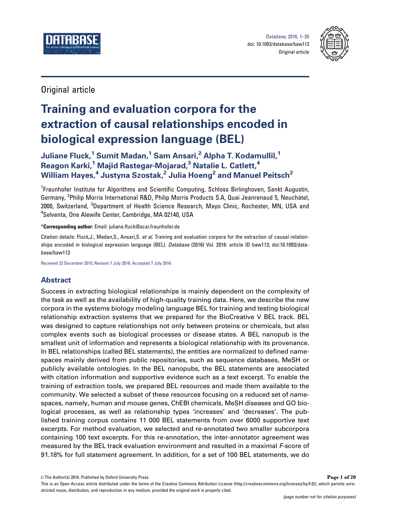



Original article

# Training and evaluation corpora for the extraction of causal relationships encoded in biological expression language (BEL)

Juliane Fluck,<sup>1</sup> Sumit Madan,<sup>1</sup> Sam Ansari,<sup>2</sup> Alpha T. Kodamullil,<sup>1</sup> Reagon Karki,<sup>1</sup> Majid Rastegar-Mojarad,<sup>3</sup> Natalie L. Catlett,<sup>4</sup> William Hayes,<sup>4</sup> Justyna Szostak,<sup>2</sup> Julia Hoeng<sup>2</sup> and Manuel Peitsch<sup>2</sup>

<sup>1</sup> Fraunhofer Institute for Algorithms and Scientific Computing, Schloss Birlinghoven, Sankt Augustin, Germany, <sup>2</sup>Philip Morris International R&D, Philip Morris Products S.A, Quai Jeanrenaud 5, Neuchâtel, 2000, Switzerland, <sup>3</sup>Department of Health Science Research, Mayo Clinic, Rochester, MN, USA and 4 Selventa, One Alewife Center, Cambridge, MA 02140, USA

\*Corresponding author: Email: juliane.fluck@scai.fraunhofer.de

Citation details: Fluck, J., Madan, S., Ansari, S. et al. Training and evaluation corpora for the extraction of causal relationships encoded in biological expression language (BEL). Database (2016) Vol. 2016: article ID baw113; doi:10.1093/database/baw113

Received 23 December 2015; Revised 7 July 2016; Accepted 7 July 2016

# Abstract

Success in extracting biological relationships is mainly dependent on the complexity of the task as well as the availability of high-quality training data. Here, we describe the new corpora in the systems biology modeling language BEL for training and testing biological relationship extraction systems that we prepared for the BioCreative V BEL track. BEL was designed to capture relationships not only between proteins or chemicals, but also complex events such as biological processes or disease states. A BEL nanopub is the smallest unit of information and represents a biological relationship with its provenance. In BEL relationships (called BEL statements), the entities are normalized to defined namespaces mainly derived from public repositories, such as sequence databases, MeSH or publicly available ontologies. In the BEL nanopubs, the BEL statements are associated with citation information and supportive evidence such as a text excerpt. To enable the training of extraction tools, we prepared BEL resources and made them available to the community. We selected a subset of these resources focusing on a reduced set of namespaces, namely, human and mouse genes, ChEBI chemicals, MeSH diseases and GO biological processes, as well as relationship types 'increases' and 'decreases'. The published training corpus contains 11 000 BEL statements from over 6000 supportive text excerpts. For method evaluation, we selected and re-annotated two smaller subcorpora containing 100 text excerpts. For this re-annotation, the inter-annotator agreement was measured by the BEL track evaluation environment and resulted in a maximal F-score of 91.18% for full statement agreement. In addition, for a set of 100 BEL statements, we do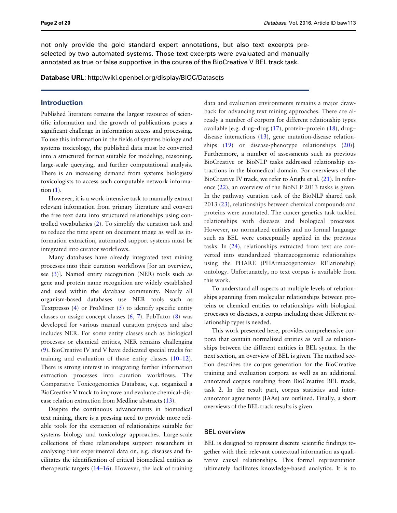not only provide the gold standard expert annotations, but also text excerpts preselected by two automated systems. Those text excerpts were evaluated and manually annotated as true or false supportive in the course of the BioCreative V BEL track task.

Database URL: <http://wiki.openbel.org/display/BIOC/Datasets>

## Introduction

Published literature remains the largest resource of scientific information and the growth of publications poses a significant challenge in information access and processing. To use this information in the fields of systems biology and systems toxicology, the published data must be converted into a structured format suitable for modeling, reasoning, large-scale querying, and further computational analysis. There is an increasing demand from systems biologists/ toxicologists to access such computable network information [\(1\)](#page-18-0).

However, it is a work-intensive task to manually extract relevant information from primary literature and convert the free text data into structured relationships using controlled vocabularies [\(2](#page-18-0)). To simplify the curation task and to reduce the time spent on document triage as well as information extraction, automated support systems must be integrated into curator workflows.

Many databases have already integrated text mining processes into their curation workflows [for an overview, see  $(3)$  $(3)$ ]. Named entity recognition (NER) tools such as gene and protein name recognition are widely established and used within the database community. Nearly all organism-based databases use NER tools such as Textpresso  $(4)$  $(4)$  or ProMiner  $(5)$  $(5)$  to identify specific entity classes or assign concept classes  $(6, 7)$  $(6, 7)$  $(6, 7)$  $(6, 7)$  $(6, 7)$ . PubTator  $(8)$  $(8)$  $(8)$  was developed for various manual curation projects and also includes NER. For some entity classes such as biological processes or chemical entities, NER remains challenging [\(9](#page-18-0)). BioCreative IV and V have dedicated special tracks for training and evaluation of those entity classes [\(10–12](#page-18-0)). There is strong interest in integrating further information extraction processes into curation workflows. The Comparative Toxicogenomics Database, e.g. organized a BioCreative V track to improve and evaluate chemical–disease relation extraction from Medline abstracts ([13\)](#page-18-0).

Despite the continuous advancements in biomedical text mining, there is a pressing need to provide more reliable tools for the extraction of relationships suitable for systems biology and toxicology approaches. Large-scale collections of these relationships support researchers in analysing their experimental data on, e.g. diseases and facilitates the identification of critical biomedical entities as therapeutic targets ([14–16\)](#page-18-0). However, the lack of training data and evaluation environments remains a major drawback for advancing text mining approaches. There are already a number of corpora for different relationship types available [e.g. drug–drug ([17\)](#page-19-0), protein–protein [\(18\)](#page-19-0), drug– disease interactions [\(13](#page-18-0)), gene mutation-disease relation-ships ([19](#page-19-0)) or disease-phenotype relationships [\(20](#page-19-0)). Furthermore, a number of assessments such as previous BioCreative or BioNLP tasks addressed relationship extractions in the biomedical domain. For overviews of the BioCreative IV track, we refer to Arighi et al. ([21](#page-19-0)). In reference ([22\)](#page-19-0), an overview of the BioNLP 2013 tasks is given. In the pathway curation task of the BioNLP shared task 2013 [\(23](#page-19-0)), relationships between chemical compounds and proteins were annotated. The cancer genetics task tackled relationships with diseases and biological processes. However, no normalized entities and no formal language such as BEL were conceptually applied in the previous tasks. In ([24](#page-19-0)), relationships extracted from text are converted into standardized phamacogenomic relationships using the PHARE (PHArmacogenomics RElationship) ontology. Unfortunately, no text corpus is available from this work.

To understand all aspects at multiple levels of relationships spanning from molecular relationships between proteins or chemical entities to relationships with biological processes or diseases, a corpus including those different relationship types is needed.

This work presented here, provides comprehensive corpora that contain normalized entities as well as relationships between the different entities in BEL syntax. In the next section, an overview of BEL is given. The method section describes the corpus generation for the BioCreative training and evaluation corpora as well as an additional annotated corpus resulting from BioCreative BEL track, task 2. In the result part, corpus statistics and interannotator agreements (IAAs) are outlined. Finally, a short overviews of the BEL track results is given.

### BEL overview

BEL is designed to represent discrete scientific findings together with their relevant contextual information as qualitative causal relationships. This formal representation ultimately facilitates knowledge-based analytics. It is to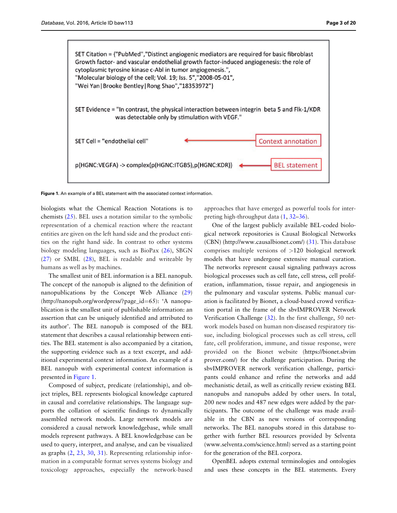<span id="page-2-0"></span>

Figure 1. An example of a BEL statement with the associated context information.

biologists what the Chemical Reaction Notations is to chemists  $(25)$  $(25)$ . BEL uses a notation similar to the symbolic representation of a chemical reaction where the reactant entities are given on the left hand side and the product entities on the right hand side. In contrast to other systems biology modeling languages, such as BioPax [\(26](#page-19-0)), SBGN [\(27](#page-19-0)) or SMBL ([28](#page-19-0)), BEL is readable and writeable by humans as well as by machines.

The smallest unit of BEL information is a BEL nanopub. The concept of the nanopub is aligned to the definition of nanopublications by the Concept Web Alliance ([29](#page-19-0))  $(http://nanopub.org/wordpress?page_id=65): 'A nanopu (http://nanopub.org/wordpress?page_id=65): 'A nanopu (http://nanopub.org/wordpress?page_id=65): 'A nanopu$ blication is the smallest unit of publishable information: an assertion that can be uniquely identified and attributed to its author'. The BEL nanopub is composed of the BEL statement that describes a causal relationship between entities. The BEL statement is also accompanied by a citation, the supporting evidence such as a text excerpt, and additional experimental context information. An example of a BEL nanopub with experimental context information is presented in Figure 1.

Composed of subject, predicate (relationship), and object triples, BEL represents biological knowledge captured in causal and correlative relationships. The language supports the collation of scientific findings to dynamically assembled network models. Large network models are considered a causal network knowledgebase, while small models represent pathways. A BEL knowledgebase can be used to query, interpret, and analyse, and can be visualized as graphs [\(2](#page-18-0), [23](#page-19-0), [30](#page-19-0), [31](#page-19-0)). Representing relationship information in a computable format serves systems biology and toxicology approaches, especially the network-based approaches that have emerged as powerful tools for interpreting high-throughput data [\(1](#page-18-0), [32–36](#page-19-0)).

One of the largest publicly available BEL-coded biological network repositories is Causal Biological Networks (CBN) (<http://www.causalbionet.com/>) ([31](#page-19-0)). This database comprises multiple versions of >120 biological network models that have undergone extensive manual curation. The networks represent causal signaling pathways across biological processes such as cell fate, cell stress, cell proliferation, inflammation, tissue repair, and angiogenesis in the pulmonary and vascular systems. Public manual curation is facilitated by Bionet, a cloud-based crowd verification portal in the frame of the sbvIMPROVER Network Verification Challenge ([32\)](#page-19-0). In the first challenge, 50 network models based on human non-diseased respiratory tissue, including biological processes such as cell stress, cell fate, cell proliferation, immune, and tissue response, were provided on the Bionet website [\(https://bionet.sbvim](https://bionet.sbvimprover.com/) [prover.com/](https://bionet.sbvimprover.com/)) for the challenge participation. During the sbvIMPROVER network verification challenge, participants could enhance and refine the networks and add mechanistic detail, as well as critically review existing BEL nanopubs and nanopubs added by other users. In total, 200 new nodes and 487 new edges were added by the participants. The outcome of the challenge was made available in the CBN as new versions of corresponding networks. The BEL nanopubs stored in this database together with further BEL resources provided by Selventa [\(www.selventa.com/science.html](http://www.selventa.com/science.html)) served as a starting point for the generation of the BEL corpora.

OpenBEL adopts external terminologies and ontologies and uses these concepts in the BEL statements. Every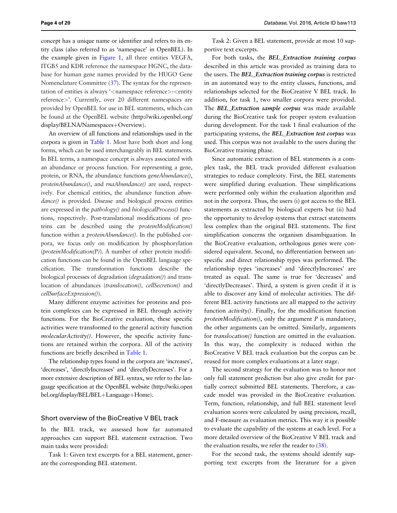concept has a unique name or identifier and refers to its entity class (also referred to as 'namespace' in OpenBEL). In the example given in [Figure 1](#page-2-0), all three entities VEGFA, ITGB5 and KDR reference the namespace HGNC, the database for human gene names provided by the HUGO Gene Nomenclature Committee [\(37](#page-19-0)). The syntax for the representation of entities is always '<namespace reference>:<entity reference>'. Currently, over 20 different namespaces are provided by OpenBEL for use in BEL statements, which can be found at the OpenBEL website [\(http://wiki.openbel.org/](http://wiki.openbel.org/display/BELNA/Namespaces+Overview) [display/BELNA/Namespaces](http://wiki.openbel.org/display/BELNA/Namespaces+Overview)+[Overview\)](http://wiki.openbel.org/display/BELNA/Namespaces+Overview).

An overview of all functions and relationships used in the corpora is given in [Table 1](#page-4-0). Most have both short and long forms, which can be used interchangeably in BEL statements. In BEL terms, a namespace concept is always associated with an abundance or process function. For representing a gene, protein, or RNA, the abundance functions geneAbundance(), proteinAbundance(), and rnaAbundance() are used, respectively. For chemical entities, the abundance function abundance() is provided. Disease and biological process entities are expressed in the pathology() and biologicalProcess() functions, respectively. Post-translational modifications of proteins can be described using the proteinModification() function within a *proteinAbundance*(). In the published corpora, we focus only on modification by phosphorylation  $(protein Modification(P))$ . A number of other protein modification functions can be found in the OpenBEL language specification. The transformation functions describe the biological processes of degradation (degradation()) and translocation of abundances (*translocation*(), *cellSecretion*() and cellSurfaceExpression()).

Many different enzyme activities for proteins and protein complexes can be expressed in BEL through activity functions. For the BioCreative evaluation, these specific activities were transformed to the general activity function molecularActivity(). However, the specific activity functions are retained within the corpora. All of the activity functions are briefly described in [Table 1.](#page-4-0)

The relationship types found in the corpora are 'increases', 'decreases', 'directlyIncreases' and 'directlyDecreases'. For a more extensive description of BEL syntax, we refer to the language specification at the OpenBEL website [\(http://wiki.open](http://wiki.openbel.org/display/BEL/BEL+Language+Home) [bel.org/display/BEL/BEL](http://wiki.openbel.org/display/BEL/BEL+Language+Home)+[Language](http://wiki.openbel.org/display/BEL/BEL+Language+Home)+[Home](http://wiki.openbel.org/display/BEL/BEL+Language+Home)).

#### Short overview of the BioCreative V BEL track

In the BEL track, we assessed how far automated approaches can support BEL statement extraction. Two main tasks were provided:

Task 1: Given text excerpts for a BEL statement, generate the corresponding BEL statement.

Task 2: Given a BEL statement, provide at most 10 supportive text excerpts.

For both tasks, the BEL Extraction training corpus described in this article was provided as training data to the users. The BEL\_Extraction training corpus is restricted in an automated way to the entity classes, functions, and relationships selected for the BioCreative V BEL track. In addition, for task 1, two smaller corpora were provided. The **BEL\_Extraction sample corpus** was made available during the BioCreative task for proper system evaluation during development. For the task 1 final evaluation of the participating systems, the BEL\_Extraction test corpus was used. This corpus was not available to the users during the BioCreative training phase.

Since automatic extraction of BEL statements is a complex task, the BEL track provided different evaluation strategies to reduce complexity. First, the BEL statements were simplified during evaluation. These simplifications were performed only within the evaluation algorithm and not in the corpora. Thus, the users (i) got access to the BEL statements as extracted by biological experts but (ii) had the opportunity to develop systems that extract statements less complex than the original BEL statements. The first simplification concerns the organism disambiguation. In the BioCreative evaluation, orthologous genes were considered equivalent. Second, no differentiation between unspecific and direct relationship types was performed. The relationship types 'increases' and 'directlyIncreases' are treated as equal. The same is true for 'decreases' and 'directlyDecreases'. Third, a system is given credit if it is able to discover any kind of molecular activities. The different BEL activity functions are all mapped to the activity function activity(). Finally, for the modification function proteinModification(), only the argument  $P$  is mandatory, the other arguments can be omitted. Similarly, arguments for translocation() function are omitted in the evaluation. In this way, the complexity is reduced within the BioCreative V BEL track evaluation but the corpus can be reused for more complex evaluations at a later stage.

The second strategy for the evaluation was to honor not only full statement prediction but also give credit for partially correct submitted BEL statements. Therefore, a cascade model was provided in the BioCreative evaluation. Term, function, relationship, and full BEL statement level evaluation scores were calculated by using precision, recall, and F-measure as evaluation metrics. This way it is possible to evaluate the capability of the systems at each level. For a more detailed overview of the BioCreative V BEL track and the evaluation results, we refer the reader to  $(38)$  $(38)$ .

For the second task, the systems should identify supporting text excerpts from the literature for a given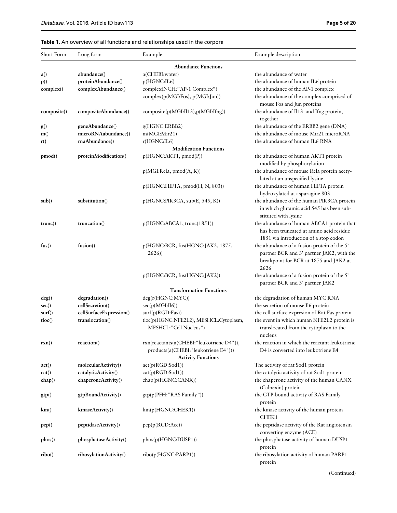## <span id="page-4-0"></span>Table 1. An overview of all functions and relationships used in the corpora

| Short Form  | Long form               | Example                                                          | Example description                                                                                                                        |
|-------------|-------------------------|------------------------------------------------------------------|--------------------------------------------------------------------------------------------------------------------------------------------|
|             |                         | <b>Abundance Functions</b>                                       |                                                                                                                                            |
| a()         | abundance()             | a(CHEBI:water)                                                   | the abundance of water                                                                                                                     |
| p()         | proteinAbundance()      | p(HGNC:IL6)                                                      | the abundance of human IL6 protein                                                                                                         |
| complex()   | complexAbundance()      | complex(NCH:"AP-1 Complex")                                      | the abundance of the AP-1 complex                                                                                                          |
|             |                         | complex(p(MGI:Fos), p(MGI:Jun))                                  | the abundance of the complex comprised of<br>mouse Fos and Jun proteins                                                                    |
| composite() | compositeAbundance()    | composite(p(MGI:II13),p(MGI:Ifng))                               | the abundance of Il13 and Ifng protein,<br>together                                                                                        |
| g()         | geneAbundance()         | g(HGNC:ERBB2)                                                    | the abundance of the ERBB2 gene (DNA)                                                                                                      |
| m()         | microRNAabundance()     | m(MGI:Mir21)                                                     | the abundance of mouse Mir21 microRNA                                                                                                      |
| r()         | rnaAbundance()          | r(HGNC:IL6)                                                      | the abundance of human IL6 RNA                                                                                                             |
|             |                         | <b>Modification Functions</b>                                    |                                                                                                                                            |
| pmod()      | proteinModification()   | p(HGNC:AKT1, pmod(P))                                            | the abundance of human AKT1 protein<br>modified by phosphorylation                                                                         |
|             |                         | p(MGI:Rela, pmod(A, K))                                          | the abundance of mouse Rela protein acety-<br>lated at an unspecified lysine                                                               |
|             |                         | p(HGNC:HIF1A, pmod(H, N, 803))                                   | the abundance of human HIF1A protein<br>hydroxylated at asparagine 803                                                                     |
| sub()       | substitution()          | p(HGNC:PIK3CA, sub(E, 545, K))                                   | the abundance of the human PIK3CA protein<br>in which glutamic acid 545 has been sub-<br>stituted with lysine                              |
| trunc()     | truncation()            | p(HGNC:ABCA1, trunc(1851))                                       | the abundance of human ABCA1 protein that<br>has been truncated at amino acid residue<br>1851 via introduction of a stop codon             |
| fus()       | fusion()                | p(HGNC:BCR, fus(HGNC:JAK2, 1875,<br>2626)                        | the abundance of a fusion protein of the 5'<br>partner BCR and 3' partner JAK2, with the<br>breakpoint for BCR at 1875 and JAK2 at<br>2626 |
|             |                         | p(HGNC:BCR, fus(HGNC:JAK2))                                      | the abundance of a fusion protein of the 5'<br>partner BCR and 3' partner JAK2                                                             |
|             |                         | <b>Tansformation Functions</b>                                   |                                                                                                                                            |
| deg()       | degradation()           | deg(r(HGNC:MYC))                                                 | the degradation of human MYC RNA                                                                                                           |
| sec()       | cellSecretion()         | sec(p(MGI:II6))                                                  | the secretion of mouse Il6 protein                                                                                                         |
| surf()      | cellSurfaceExpression() | surf(p(RGD:Fa))                                                  | the cell surface expresion of Rat Fas protein                                                                                              |
| tloc()      | translocation()         | tloc(p(HGNC:NFE2L2), MESHCL:Cytoplasm,<br>MESHCL:"Cell Nucleus") | the event in which human NFE2L2 protein is<br>translocated from the cytoplasm to the<br>nucleus                                            |
| rxn()       | reaction()              | rxn(reactants(a(CHEBI: "leukotriene D4")),                       | the reaction in which the reactant leukotriene                                                                                             |
|             |                         | products(a(CHEBI: "leukotriene E4")))                            | D4 is converted into leukotriene E4                                                                                                        |
|             |                         | <b>Activity Functions</b>                                        |                                                                                                                                            |
| act()       | molecularActivity()     | act(p(RGD:Sod1))                                                 | The activity of rat Sod1 protein                                                                                                           |
| cat()       | catalyticActivity()     | cat(p(RGD:Sod1))                                                 | the catalytic activity of rat Sod1 protein                                                                                                 |
| chap()      | chaperoneActivity()     | chap(p(HGNC:CANX))                                               | the chaperone activity of the human CANX<br>(Calnexin) protein                                                                             |
| gtp()       | gtpBoundActivity()      | gtp(p(PFH:"RAS Family"))                                         | the GTP-bound activity of RAS Family<br>protein                                                                                            |
| $\lim()$    | kinaseActivity()        | kin(p(HGNC:CHEK1))                                               | the kinase activity of the human protein<br>CHEK1                                                                                          |
| pep()       | peptidaseActivity()     | pep(p(RGD:Acc))                                                  | the peptidase activity of the Rat angiotensin<br>converting enzyme (ACE)                                                                   |
| phos()      | phosphataseActivity()   | phos(p(HGNC:DUSP1))                                              | the phosphatase activity of human DUSP1<br>protein                                                                                         |
| ribo()      | ribosylationActivity()  | ribo(p(HGNC:PARP1))                                              | the ribosylation activity of human PARP1<br>protein                                                                                        |

(Continued)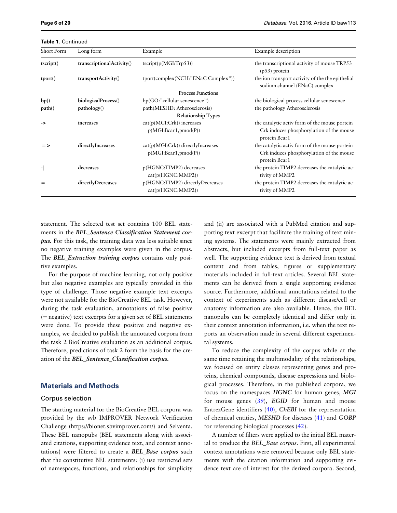Table 1. Continued

| Long form                 | Example                              | Example description                                                               |
|---------------------------|--------------------------------------|-----------------------------------------------------------------------------------|
| transcriptionalActivity() | tscript(p(MGI:Trp53))                | the transcriptional activity of mouse TRP53<br>$(p53)$ protein                    |
| transportActivity()       | tport(complex(NCH:"ENaC Complex"))   | the ion transport activity of the the epithelial<br>sodium channel (ENaC) complex |
|                           | <b>Process Functions</b>             |                                                                                   |
| biologicalProcess()       | bp(GO:"cellular senescence")         | the biological process cellular senescence                                        |
| pathology()               | path(MESHD: Atherosclerosis)         | the pathology Atherosclerosis                                                     |
|                           | <b>Relationship Types</b>            |                                                                                   |
| increases                 | $cat(p(MGI:Crk))$ increases          | the catalytic activ form of the mouse portein                                     |
|                           | p(MGI:Bear1, pmod(P))                | Crk induces phosphorylation of the mouse<br>protein Bcar1                         |
| directlyIncreases         | $cat(p(MGI:Crk))$ directly Increases | the catalytic activ form of the mouse portein                                     |
|                           | p(MGI:Bear1, pmod(P))                | Crk induces phosphorylation of the mouse<br>protein Bcar1                         |
| decreases                 | p(HGNC:TIMP2) decreases              | the protein TIMP2 decreases the catalytic ac-                                     |
|                           | cat(p(HGNC: MMP2))                   | tivity of MMP2                                                                    |
| directlyDecreases         | p(HGNC:TIMP2) directlyDecreases      | the protein TIMP2 decreases the catalytic ac-<br>tivity of MMP2                   |
|                           |                                      | cat(p(HGNC:MMP2))                                                                 |

statement. The selected test set contains 100 BEL statements in the BEL\_Sentence Classification Statement corpus. For this task, the training data was less suitable since no negative training examples were given in the corpus. The BEL\_Extraction training corpus contains only positive examples.

For the purpose of machine learning, not only positive but also negative examples are typically provided in this type of challenge. Those negative example text excerpts were not available for the BioCreative BEL task. However, during the task evaluation, annotations of false positive  $($  = negative) text excerpts for a given set of BEL statements were done. To provide these positive and negative examples, we decided to publish the annotated corpora from the task 2 BioCreative evaluation as an additional corpus. Therefore, predictions of task 2 form the basis for the creation of the BEL\_Sentence\_Classification corpus.

## Materials and Methods

#### Corpus selection

The starting material for the BioCreative BEL corpora was provided by the svb IMPROVER Network Verification Challenge [\(https://bionet.sbvimprover.com/\)](https://bionet.sbvimprover.com/) and Selventa. These BEL nanopubs (BEL statements along with associated citations, supporting evidence text, and context annotations) were filtered to create a **BEL\_Base corpus** such that the constitutive BEL statements: (i) use restricted sets of namespaces, functions, and relationships for simplicity

and (ii) are associated with a PubMed citation and supporting text excerpt that facilitate the training of text mining systems. The statements were mainly extracted from abstracts, but included excerpts from full-text paper as well. The supporting evidence text is derived from textual content and from tables, figures or supplementary materials included in full-text articles. Several BEL statements can be derived from a single supporting evidence source. Furthermore, additional annotations related to the context of experiments such as different disease/cell or anatomy information are also available. Hence, the BEL nanopubs can be completely identical and differ only in their context annotation information, i.e. when the text reports an observation made in several different experimental systems.

To reduce the complexity of the corpus while at the same time retaining the multimodality of the relationships, we focused on entity classes representing genes and proteins, chemical compounds, disease expressions and biological processes. Therefore, in the published corpora, we focus on the namespaces HGNC for human genes, MGI for mouse genes ([39\)](#page-19-0), EGID for human and mouse EntrezGene identifiers [\(40](#page-19-0)), ChEBI for the representation of chemical entities, MESHD for diseases [\(41](#page-19-0)) and GOBP for referencing biological processes [\(42\)](#page-19-0).

A number of filters were applied to the initial BEL material to produce the BEL\_Base corpus. First, all experimental context annotations were removed because only BEL statements with the citation information and supporting evidence text are of interest for the derived corpora. Second,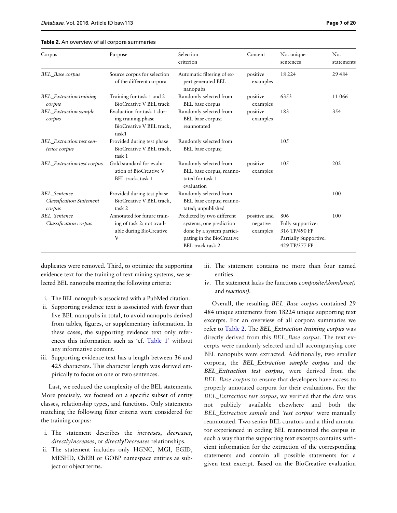Corpus Purpose Selection

|                                                                  |                                                                                          | criterion                                                                                                                           |                                      | sentences                                                                           | statements |
|------------------------------------------------------------------|------------------------------------------------------------------------------------------|-------------------------------------------------------------------------------------------------------------------------------------|--------------------------------------|-------------------------------------------------------------------------------------|------------|
| <b>BEL_Base</b> corpus                                           | Source corpus for selection<br>of the different corpora                                  | Automatic filtering of ex-<br>pert generated BEL<br>nanopubs                                                                        | positive<br>examples                 | 18 2 2 4                                                                            | 29 4 8 4   |
| <b>BEL_Extraction training</b><br>corpus                         | Training for task 1 and 2<br>BioCreative V BEL track                                     | Randomly selected from<br>BEL base corpus                                                                                           | positive<br>examples                 | 6353                                                                                | 11 066     |
| <b>BEL_Extraction sample</b><br>corpus                           | Evaluation for task 1 dur-<br>ing training phase<br>BioCreative V BEL track,<br>task1    | Randomly selected from<br>BEL base corpus;<br>reannotated                                                                           | positive<br>examples                 | 183                                                                                 | 354        |
| <b>BEL</b> Extraction test sen-<br>tence corpus                  | Provided during test phase<br>BioCreative V BEL track,<br>task 1                         | Randomly selected from<br>BEL base corpus;                                                                                          |                                      | 105                                                                                 |            |
| <b>BEL_Extraction test corpus</b>                                | Gold standard for evalu-<br>ation of BioCreative V<br>BEL track, task 1                  | Randomly selected from<br>BEL base corpus; reanno-<br>tated for task 1<br>evaluation                                                | positive<br>examples                 | 105                                                                                 | 202        |
| <b>BEL</b> Sentence<br><b>Classification Statement</b><br>corpus | Provided during test phase<br>BioCreative V BEL track,<br>task 2                         | Randomly selected from<br>BEL base corpus; reanno-<br>tated; unpublished                                                            |                                      |                                                                                     | 100        |
| <b>BEL</b> Sentence<br>Classification corpus                     | Annotated for future train-<br>ing of task 2; not avail-<br>able during BioCreative<br>V | Predicted by two different<br>systems, one prediction<br>done by a system partici-<br>pating in the BioCreative<br>BEL track task 2 | positive and<br>negative<br>examples | 806<br>Fully supportive:<br>316 TP/490 FP<br>Partially Supportive:<br>429 TP/377 FP | 100        |

duplicates were removed. Third, to optimize the supporting evidence text for the training of text mining systems, we selected BEL nanopubs meeting the following criteria:

- i. The BEL nanopub is associated with a PubMed citation.
- ii. Supporting evidence text is associated with fewer than five BEL nanopubs in total, to avoid nanopubs derived from tables, figures, or supplementary information. In these cases, the supporting evidence text only references this information such as 'cf. [Table 1'](#page-4-0) without any informative content.
- iii. Supporting evidence text has a length between 36 and 425 characters. This character length was derived empirically to focus on one or two sentences.

Last, we reduced the complexity of the BEL statements. More precisely, we focused on a specific subset of entity classes, relationship types, and functions. Only statements matching the following filter criteria were considered for the training corpus:

- i. The statement describes the increases, decreases, directlyIncreases, or directlyDecreases relationships.
- ii. The statement includes only HGNC, MGI, EGID, MESHD, ChEBI or GOBP namespace entities as subject or object terms.
- iii. The statement contains no more than four named entities.
- iv. The statement lacks the functions compositeAbundance() and reaction().

Overall, the resulting BEL\_Base corpus contained 29 484 unique statements from 18224 unique supporting text excerpts. For an overview of all corpora summaries we refer to Table 2. The BEL\_Extraction training corpus was directly derived from this BEL\_Base corpus. The text excerpts were randomly selected and all accompanying core BEL nanopubs were extracted. Additionally, two smaller corpora, the BEL\_Extraction sample corpus and the BEL Extraction test corpus, were derived from the BEL Base corpus to ensure that developers have access to properly annotated corpora for their evaluations. For the BEL\_Extraction test corpus, we verified that the data was not publicly available elsewhere and both the BEL\_Extraction sample and 'test corpus' were manually reannotated. Two senior BEL curators and a third annotator experienced in coding BEL reannotated the corpus in such a way that the supporting text excerpts contains sufficient information for the extraction of the corresponding statements and contain all possible statements for a given text excerpt. Based on the BioCreative evaluation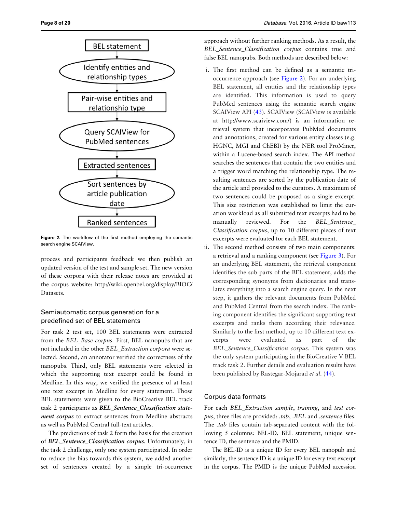

Figure 2. The workflow of the first method employing the semantic search engine SCAIView.

process and participants feedback we then publish an updated version of the test and sample set. The new version of these corpora with their release notes are provided at the corpus website: [http://wiki.openbel.org/display/BIOC/](http://wiki.openbel.org/display/BIOC/Datasets) [Datasets](http://wiki.openbel.org/display/BIOC/Datasets).

## Semiautomatic corpus generation for a predefined set of BEL statements

For task 2 test set, 100 BEL statements were extracted from the BEL\_Base corpus. First, BEL nanopubs that are not included in the other BEL\_Extraction corpora were selected. Second, an annotator verified the correctness of the nanopubs. Third, only BEL statements were selected in which the supporting text excerpt could be found in Medline. In this way, we verified the presence of at least one text excerpt in Medline for every statement. Those BEL statements were given to the BioCreative BEL track task 2 participants as BEL\_Sentence\_Classification statement corpus to extract sentences from Medline abstracts as well as PubMed Central full-text articles.

The predictions of task 2 form the basis for the creation of BEL\_Sentence\_Classification corpus. Unfortunately, in the task 2 challenge, only one system participated. In order to reduce the bias towards this system, we added another set of sentences created by a simple tri-occurrence approach without further ranking methods. As a result, the BEL Sentence Classification corpus contains true and false BEL nanopubs. Both methods are described below:

- i. The first method can be defined as a semantic trioccurrence approach (see Figure 2). For an underlying BEL statement, all entities and the relationship types are identified. This information is used to query PubMed sentences using the semantic search engine SCAIView API ([43](#page-19-0)). SCAIView (SCAIView is available at [http://www.scaiview.com/\)](http://www.scaiview.com/) is an information retrieval system that incorporates PubMed documents and annotations, created for various entity classes (e.g. HGNC, MGI and ChEBI) by the NER tool ProMiner, within a Lucene-based search index. The API method searches the sentences that contain the two entities and a trigger word matching the relationship type. The resulting sentences are sorted by the publication date of the article and provided to the curators. A maximum of two sentences could be proposed as a single excerpt. This size restriction was established to limit the curation workload as all submitted text excerpts had to be manually reviewed. For the BEL\_Sentence\_ Classification corpus, up to 10 different pieces of text excerpts were evaluated for each BEL statement.
- ii. The second method consists of two main components: a retrieval and a ranking component (see [Figure 3](#page-8-0)). For an underlying BEL statement, the retrieval component identifies the sub parts of the BEL statement, adds the corresponding synonyms from dictionaries and translates everything into a search engine query. In the next step, it gathers the relevant documents from PubMed and PubMed Central from the search index. The ranking component identifies the significant supporting text excerpts and ranks them according their relevance. Similarly to the first method, up to 10 different text excerpts were evaluated as part of the BEL Sentence Classification corpus. This system was the only system participating in the BioCreative V BEL track task 2. Further details and evaluation results have been published by Rastegar-Mojarad et al. [\(44](#page-19-0)).

### Corpus data formats

For each BEL Extraction sample, training, and test corpus, three files are provided: .tab, .BEL and .sentence files. The .tab files contain tab-separated content with the following 5 columns: BEL-ID, BEL statement, unique sentence ID, the sentence and the PMID.

The BEL-ID is a unique ID for every BEL nanopub and similarly, the sentence ID is a unique ID for every text excerpt in the corpus. The PMID is the unique PubMed accession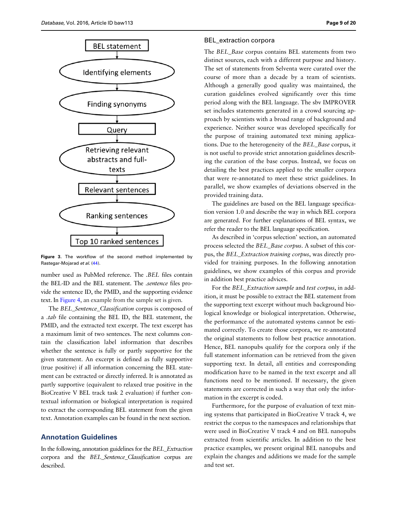<span id="page-8-0"></span>

Figure 3. The workflow of the second method implemented by Rastegar-Mojarad et al. [\(44\)](#page-19-0).

number used as PubMed reference. The .BEL files contain the BEL-ID and the BEL statement. The *sentence* files provide the sentence ID, the PMID, and the supporting evidence text. In [Figure 4,](#page-9-0) an example from the sample set is given.

The BEL\_Sentence\_Classification corpus is composed of a .tab file containing the BEL ID, the BEL statement, the PMID, and the extracted text excerpt. The text excerpt has a maximum limit of two sentences. The next columns contain the classification label information that describes whether the sentence is fully or partly supportive for the given statement. An excerpt is defined as fully supportive (true positive) if all information concerning the BEL statement can be extracted or directly inferred. It is annotated as partly supportive (equivalent to relaxed true positive in the BioCreative V BEL track task 2 evaluation) if further contextual information or biological interpretation is required to extract the corresponding BEL statement from the given text. Annotation examples can be found in the next section.

### Annotation Guidelines

In the following, annotation guidelines for the BEL\_Extraction corpora and the BEL\_Sentence\_Classification corpus are described.

#### BEL extraction corpora

The BEL\_Base corpus contains BEL statements from two distinct sources, each with a different purpose and history. The set of statements from Selventa were curated over the course of more than a decade by a team of scientists. Although a generally good quality was maintained, the curation guidelines evolved significantly over this time period along with the BEL language. The sbv IMPROVER set includes statements generated in a crowd sourcing approach by scientists with a broad range of background and experience. Neither source was developed specifically for the purpose of training automated text mining applications. Due to the heterogeneity of the BEL\_Base corpus, it is not useful to provide strict annotation guidelines describing the curation of the base corpus. Instead, we focus on detailing the best practices applied to the smaller corpora that were re-annotated to meet these strict guidelines. In parallel, we show examples of deviations observed in the provided training data.

The guidelines are based on the BEL language specification version 1.0 and describe the way in which BEL corpora are generated. For further explanations of BEL syntax, we refer the reader to the BEL language specification.

As described in 'corpus selection' section, an automated process selected the BEL\_Base corpus. A subset of this corpus, the BEL\_Extraction training corpus, was directly provided for training purposes. In the following annotation guidelines, we show examples of this corpus and provide in addition best practice advices.

For the BEL\_Extraction sample and test corpus, in addition, it must be possible to extract the BEL statement from the supporting text excerpt without much background biological knowledge or biological interpretation. Otherwise, the performance of the automated systems cannot be estimated correctly. To create those corpora, we re-annotated the original statements to follow best practice annotation. Hence, BEL nanopubs qualify for the corpora only if the full statement information can be retrieved from the given supporting text. In detail, all entities and corresponding modification have to be named in the text excerpt and all functions need to be mentioned. If necessary, the given statements are corrected in such a way that only the information in the excerpt is coded.

Furthermore, for the purpose of evaluation of text mining systems that participated in BioCreative V track 4, we restrict the corpus to the namespaces and relationships that were used in BioCreative V track 4 and on BEL nanopubs extracted from scientific articles. In addition to the best practice examples, we present original BEL nanopubs and explain the changes and additions we made for the sample and test set.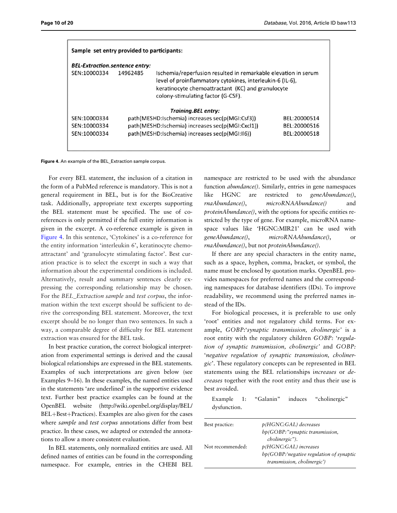<span id="page-9-0"></span>

| Sample set entry provided to participants:                                                                                                                                                                                                                                                  |  |                                                  |              |
|---------------------------------------------------------------------------------------------------------------------------------------------------------------------------------------------------------------------------------------------------------------------------------------------|--|--------------------------------------------------|--------------|
| <b>BEL-Extraction.sentence entry:</b><br>Ischemia/reperfusion resulted in remarkable elevation in serum<br>SEN:10000334<br>14962485<br>level of proinflammatory cytokines, interleukin-6 (IL-6),<br>keratinocyte chemoattractant (KC) and granulocyte<br>colony-stimulating factor (G-CSF). |  |                                                  |              |
|                                                                                                                                                                                                                                                                                             |  | <b>Training.BEL entry:</b>                       |              |
| SEN:10000334                                                                                                                                                                                                                                                                                |  | path(MESHD:Ischemia) increases sec(p(MGI:Csf3))  | BEL:20000514 |
| SEN:10000334                                                                                                                                                                                                                                                                                |  | path(MESHD:Ischemia) increases sec(p(MGI:Cxcl1)) | BEL:20000516 |
| SEN:10000334                                                                                                                                                                                                                                                                                |  | path(MESHD:Ischemia) increases sec(p(MGI:II6))   | BEL:20000518 |
|                                                                                                                                                                                                                                                                                             |  |                                                  |              |

#### Figure 4. An example of the BEL\_Extraction sample corpus.

For every BEL statement, the inclusion of a citation in the form of a PubMed reference is mandatory. This is not a general requirement in BEL, but is for the BioCreative task. Additionally, appropriate text excerpts supporting the BEL statement must be specified. The use of coreferences is only permitted if the full entity information is given in the excerpt. A co-reference example is given in Figure 4. In this sentence, 'Cytokines' is a co-reference for the entity information 'interleukin 6', keratinocyte chemoattractant' and 'granulocyte stimulating factor'. Best curation practice is to select the excerpt in such a way that information about the experimental conditions is included. Alternatively, result and summary sentences clearly expressing the corresponding relationship may be chosen. For the BEL\_Extraction sample and test corpus, the information within the text excerpt should be sufficient to derive the corresponding BEL statement. Moreover, the text excerpt should be no longer than two sentences. In such a way, a comparable degree of difficulty for BEL statement extraction was ensured for the BEL task.

In best practice curation, the correct biological interpretation from experimental settings is derived and the causal biological relationships are expressed in the BEL statements. Examples of such interpretations are given below (see Examples 9–16). In these examples, the named entities used in the statements 'are underlined' in the supportive evidence text. Further best practice examples can be found at the OpenBEL website ([http://wiki.openbel.org/display/BEL/](http://wiki.openbel.org/display/BEL/BEL+Best+Practices) [BEL](http://wiki.openbel.org/display/BEL/BEL+Best+Practices)+[Best](http://wiki.openbel.org/display/BEL/BEL+Best+Practices)+[Practices](http://wiki.openbel.org/display/BEL/BEL+Best+Practices)). Examples are also given for the cases where *sample* and *test corpus* annotations differ from best practice. In these cases, we adapted or extended the annotations to allow a more consistent evaluation.

In BEL statements, only normalized entities are used. All defined names of entities can be found in the corresponding namespace. For example, entries in the CHEBI BEL

namespace are restricted to be used with the abundance function abundance(). Similarly, entries in gene namespaces like HGNC are restricted to geneAbundance(), rnaAbundance(), microRNAAbundance() and proteinAbundance(), with the options for specific entities restricted by the type of gene. For example, microRNA namespace values like 'HGNC:MIR21' can be used with geneAbundance(), microRNAAbundance(), or rnaAbundance(), but not proteinAbundance().

If there are any special characters in the entity name, such as a space, hyphen, comma, bracket, or symbol, the name must be enclosed by quotation marks. OpenBEL provides namespaces for preferred names and the corresponding namespaces for database identifiers (IDs). To improve readability, we recommend using the preferred names instead of the IDs.

For biological processes, it is preferable to use only 'root' entities and not regulatory child terms. For example, GOBP:'synaptic transmission, cholinergic' is a root entity with the regulatory children GOBP: 'regulation of synaptic transmission, cholinergic' and GOBP: 'negative regulation of synaptic transmission, cholinergic'. These regulatory concepts can be represented in BEL statements using the BEL relationships increases or decreases together with the root entity and thus their use is best avoided.

| Example 1:   | "Galanin" | induces | "cholinergic" |
|--------------|-----------|---------|---------------|
| dysfunction. |           |         |               |

| Best practice:   | $p(HGNC: GAL)$ decreases<br>bp(GOBP: "synaptic transmission,                               |
|------------------|--------------------------------------------------------------------------------------------|
| Not recommended: | cholinergic").<br>$p(HGNC:GAL)$ increases                                                  |
|                  | $bp(GOBP: negative \, regulation \, of \, synaptic)$<br><i>transmission, cholinergic')</i> |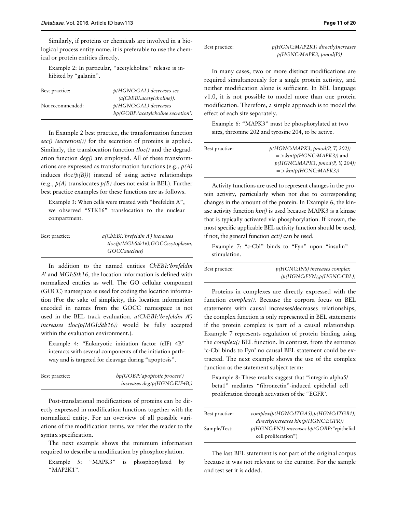Similarly, if proteins or chemicals are involved in a biological process entity name, it is preferable to use the chemical or protein entities directly.

Example 2: In particular, "acetylcholine" release is inhibited by "galanin".

| Best practice:   | $p(HGNC:GAL)$ decreases sec        |
|------------------|------------------------------------|
|                  | (a(ChEBI:acetylcholine)).          |
| Not recommended: | $p(HGNC:GAL)$ decreases            |
|                  | bp(GOBP: acetylcholine secretion') |
|                  |                                    |

In Example 2 best practice, the transformation function sec() (secretion()) for the secretion of proteins is applied. Similarly, the translocation function  $tloc()$  and the degradation function deg() are employed. All of these transformations are expressed as transformation functions (e.g.,  $p(A)$ ) induces  $tloc(p(B))$  instead of using active relationships (e.g.,  $p(A)$  translocates  $p(B)$  does not exist in BEL). Further best practice examples for these functions are as follows.

Example 3: When cells were treated with "brefeldin A", we observed "STK16" translocation to the nuclear compartment.

| Best practice: | a(ChEBI: brefeldin A') increases  |
|----------------|-----------------------------------|
|                | tloc(p/MGI:Stk16),GOCC:cytoplasm, |
|                | GOCC:nucleus)                     |

In addition to the named entities ChEBI: brefeldin A' and MGI:Stk16, the location information is defined with normalized entities as well. The GO cellular component (GOCC) namespace is used for coding the location information (For the sake of simplicity, this location information encoded in names from the GOCC namespace is not used in the BEL track evaluation. a(ChEBI: brefeldin A')  $increases$   $tloc(p/MGI:Stk16))$  would be fully accepted within the evaluation environment.).

Example 4: "Eukaryotic initiation factor (eIF) 4B" interacts with several components of the initiation pathway and is targeted for cleavage during "apoptosis".

| Best practice: | bp(GOBP:apoptotic process)        |  |  |
|----------------|-----------------------------------|--|--|
|                | $increases \, deg(p(HGNC:EIF4B))$ |  |  |

Post-translational modifications of proteins can be directly expressed in modification functions together with the normalized entity. For an overview of all possible variations of the modification terms, we refer the reader to the syntax specification.

The next example shows the minimum information required to describe a modification by phosphorylation.

Example 5: "MAPK3" is phosphorylated by "MAP2K1".

| Best practice: | $p(HGNC:MAP2K1)$ directly Increases |
|----------------|-------------------------------------|
|                | p(HGNC:MAPK3, pmod(P))              |

In many cases, two or more distinct modifications are required simultaneously for a single protein activity, and neither modification alone is sufficient. In BEL language v1.0, it is not possible to model more than one protein modification. Therefore, a simple approach is to model the effect of each site separately.

Example 6: "MAPK3" must be phosphorylated at two sites, threonine 202 and tyrosine 204, to be active.

| p(HGNC:MAPK3, pmod(P, T, 202)) |
|--------------------------------|
| $=$ > $kin(p(HGNC:MAPK3))$ and |
| p(HGNC:MAPK3, pmod(P, Y, 204)) |
|                                |
|                                |

Activity functions are used to represent changes in the protein activity, particularly when not due to corresponding changes in the amount of the protein. In Example 6, the kinase activity function  $\text{kin}(i)$  is used because MAPK3 is a kinase that is typically activated via phosphorylation. If known, the most specific applicable BEL activity function should be used; if not, the general function  $act()$  can be used.

Example 7: "c-Cbl" binds to "Fyn" upon "insulin" stimulation.

| Best practice: | $p(HGNC:INS)$ increases complex |
|----------------|---------------------------------|
|                | (p(HGNC:FYN), p(HGNC:CEL))      |

Proteins in complexes are directly expressed with the function complex(). Because the corpora focus on BEL statements with causal increases/decreases relationships, the complex function is only represented in BEL statements if the protein complex is part of a causal relationship. Example 7 represents regulation of protein binding using the complex() BEL function. In contrast, from the sentence 'c-Cbl binds to Fyn' no causal BEL statement could be extracted. The next example shows the use of the complex function as the statement subject term:

Example 8: These results suggest that "integrin alpha5/ beta1" mediates "fibronectin"-induced epithelial cell proliferation through activation of the "EGFR'.

| Best practice: | complex(p(HGNC:ITGAS),p(HGNC:ITGB1))<br>directly increases kin(p/HGNC:EGFR)) |
|----------------|------------------------------------------------------------------------------|
| Sample/Test:   | $p(HGNC:FN1)$ increases $bp(GOBP;$ "epithelial<br>cell proliferation")       |

The last BEL statement is not part of the original corpus because it was not relevant to the curator. For the sample and test set it is added.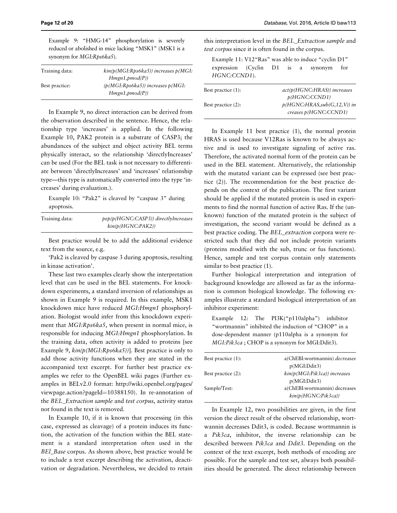Example 9: "HMG-14" phosphorylation is severely reduced or abolished in mice lacking "MSK1" (MSK1 is a synonym for MGI:Rps6ka5).

| Training data: | $kin(p(MGI:Rps6ka5))$ increases $p(MGI:$ |
|----------------|------------------------------------------|
|                | Hmgn1, pmod(P)                           |
| Best practice: | $(p(MGI:Rps6ka5))$ increases $p(MGI:$    |
|                | Hmgn1, pmod(P)                           |
|                |                                          |

In Example 9, no direct interaction can be derived from the observation described in the sentence. Hence, the relationship type 'increases' is applied. In the following Example 10, PAK2 protein is a substrate of CASP3; the abundances of the subject and object activity BEL terms physically interact, so the relationship 'directlyIncreases' can be used (For the BEL task is not necessary to differentiate between 'directlyIncreases' and 'increases' relationship type—this type is automatically converted into the type 'increases' during evaluation.).

Example 10: "Pak2" is cleaved by "caspase 3" during apoptosis.

| Training data: | $pep(p(HGNC:CASP3))$ directlyIncreases |
|----------------|----------------------------------------|
|                | kin(p(HGNC:PAK2))                      |

Best practice would be to add the additional evidence text from the source, e.g.

'Pak2 is cleaved by caspase 3 during apoptosis, resulting in kinase activation'.

These last two examples clearly show the interpretation level that can be used in the BEL statements. For knockdown experiments, a standard inversion of relationships as shown in Example 9 is required. In this example, MSK1 knockdown mice have reduced MGI:Hmgn1 phosphorylation. Biologist would infer from this knockdown experiment that MGI:Rps6ka5, when present in normal mice, is responsible for inducing MGI:Hmgn1 phosphorylation. In the training data, often activity is added to proteins [see Example 9,  $kin(p(MGI:Rps6ka5))$ ]. Best practice is only to add those activity functions when they are stated in the accompanied text excerpt. For further best practice examples we refer to the OpenBEL wiki pages (Further examples in BELv2.0 format: [http://wiki.openbel.org/pages/](http://wiki.openbel.org/pages/viewpage.action?pageId=10388150) [viewpage.action?pageId](http://wiki.openbel.org/pages/viewpage.action?pageId=10388150)=[10388150](http://wiki.openbel.org/pages/viewpage.action?pageId=10388150)). In re-annotation of the BEL\_Extraction sample and test corpus, activity status not found in the text is removed.

In Example 10, if it is known that processing (in this case, expressed as cleavage) of a protein induces its function, the activation of the function within the BEL statement is a standard interpretation often used in the BEl\_Base corpus. As shown above, best practice would be to include a text excerpt describing the activation, deactivation or degradation. Nevertheless, we decided to retain

this interpretation level in the BEL Extraction sample and test corpus since it is often found in the corpus.

| Example 11: V12"Ras" was able to induce "cyclin D1"<br>expression (Cyclin D1 is a synonym<br>HGNC:CCND1). |  |  |                                                                             | for |
|-----------------------------------------------------------------------------------------------------------|--|--|-----------------------------------------------------------------------------|-----|
| Best practice $(1)$ :                                                                                     |  |  | $act(p(HGNC:HRAS))$ increases                                               |     |
| Best practice (2):                                                                                        |  |  | p(HGNC:CCND1)<br>$p(HGNC: HRAS, sub(G, 12, V))$ in<br>creases p(HGNC:CCND1) |     |

In Example 11 best practice (1), the normal protein HRAS is used because V12Ras is known to be always active and is used to investigate signaling of active ras. Therefore, the activated normal form of the protein can be used in the BEL statement. Alternatively, the relationship with the mutated variant can be expressed (see best practice (2)). The recommendation for the best practice depends on the context of the publication. The first variant should be applied if the mutated protein is used in experiments to find the normal function of active Ras. If the (unknown) function of the mutated protein is the subject of investigation, the second variant would be defined as a best practice coding. The BEL\_extraction corpora were restricted such that they did not include protein variants (proteins modified with the sub, trunc or fus functions). Hence, sample and test corpus contain only statements similar to best practice (1).

Further biological interpretation and integration of background knowledge are allowed as far as the information is common biological knowledge. The following examples illustrate a standard biological interpretation of an inhibitor experiment:

Example 12: The PI3K("p110alpha") inhibitor "wortmannin" inhibited the induction of "CHOP" in a dose-dependent manner (p110alpha is a synonym for MGI:Pik3ca ; CHOP is a synonym for MGI:Ddit3).

|                       | a(ChEBI:wortmannin) decreases |
|-----------------------|-------------------------------|
| Best practice $(1)$ : |                               |
|                       | p(MGI:Didit3)                 |
| Best practice $(2)$ : | $kin(p(MGI:Pk3ca))$ increases |
|                       | p(MGI:Didit3)                 |
| Sample/Test:          | a(ChEBI:wortmannin) decreases |
|                       | kin(p(HGNC:Pk3ca))            |
|                       |                               |

In Example 12, two possibilities are given, in the first version the direct result of the observed relationship, wortwannin decreases Ddit3, is coded. Because wortmannin is a Pik3ca, inhibitor, the inverse relationship can be described between Pik3ca and Ddit3. Depending on the context of the text excerpt, both methods of encoding are possible. For the sample and test set, always both possibilities should be generated. The direct relationship between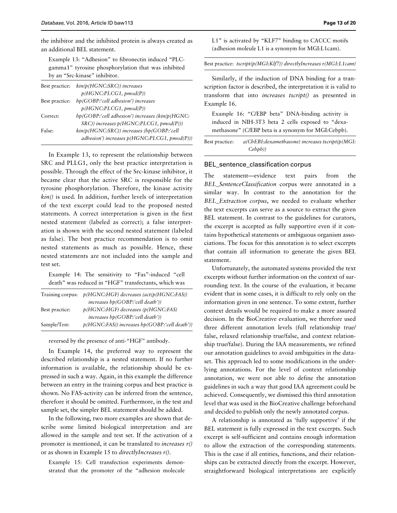the inhibitor and the inhibited protein is always created as an additional BEL statement.

| Example 13: "Adhesion" to fibronectin induced "PLC- |
|-----------------------------------------------------|
| gamma1" tyrosine phosphorylation that was inhibited |
| by an "Src-kinase" inhibitor.                       |

| Best practice: | $kin(p(HGNC:SRC))$ increases                    |
|----------------|-------------------------------------------------|
|                | p(HGNC:PLCG1, pmod(P))                          |
| Best practice: | $bp(GOBP:$ cell adhesion') increases            |
|                | p(HGNC:PLCG1, pmod(P))                          |
| Correct:       | bp(GOBP:'cell adhesion') increases (kin(p(HGNC: |
|                | SRC)) increases p(HGNC:PLCG1, pmod(P)))         |
| False:         | $kin(p(HGNC;SRC))$ increases (bp(GOBP:'cell     |
|                | adhesion') increases $p(HGNC:PLCG1, pmod(P)))$  |
|                |                                                 |

In Example 13, to represent the relationship between SRC and PLLG1, only the best practice interpretation is possible. Through the effect of the Src-kinase inhibitor, it became clear that the active SRC is responsible for the tyrosine phosphorylation. Therefore, the kinase activity  $kin()$  is used. In addition, further levels of interpretation of the text excerpt could lead to the proposed nested statements. A correct interpretation is given in the first nested statement (labeled as correct); a false interpretation is shown with the second nested statement (labeled as false). The best practice recommendation is to omit nested statements as much as possible. Hence, these nested statements are not included into the sample and test set.

Example 14: The sensitivity to "Fas"-induced "cell death" was reduced in "HGF" transfectants, which was

| Training corpus: | $p(HGNC:HGF)$ decreases (act(p(HGNC:FAS))          |
|------------------|----------------------------------------------------|
|                  | increases bp(GOBP: 'cell death'))                  |
| Best practice:   | $p(HGNC:HGF)$ decreases ( $p(HGNC:FAS)$ )          |
|                  | <i>increases bp</i> (GOBP:'cell death'))           |
| Sample/Test:     | $p(HGNC:FAS)$ ) increases $bp(GOBP:cell death$ ')) |
|                  |                                                    |

reversed by the presence of anti-"HGF" antibody.

In Example 14, the preferred way to represent the described relationship is a nested statement. If no further information is available, the relationship should be expressed in such a way. Again, in this example the difference between an entry in the training corpus and best practice is shown. No FAS-activity can be inferred from the sentence, therefore it should be omitted. Furthermore, in the test and sample set, the simpler BEL statement should be added.

In the following, two more examples are shown that describe some limited biological interpretation and are allowed in the sample and test set. If the activation of a promoter is mentioned, it can be translated to *increases*  $r()$ or as shown in Example 15 to *directlyIncreases*  $r$ *()*.

Example 15: Cell transfection experiments demonstrated that the promoter of the "adhesion molecule L1" is activated by "KLF7" binding to CACCC motifs (adhesion moleule L1 is a synonym for MGI:L1cam).

Best practice: tscript(p(MGI:Klf7)) directlyIncreases r(MGI:L1cam)

Similarly, if the induction of DNA binding for a transcription factor is described, the interpretation it is valid to transform that into increases tscript() as presented in Example 16.

Example 16: "C/EBP beta" DNA-binding activity is induced in NIH-3T3 beta 2 cells exposed to "dexamethasone" (C/EBP beta is a synonym for MGI:Cebpb).

Best practice: a(ChEBI:dexamethasone) increases tscript(p(MGI: Cebpb))

#### BEL\_sentence\_classification corpus

The statement—evidence text pairs from the BEL\_SentenceClassification corpus were annotated in a similar way. In contrast to the annotation for the BEL\_Extraction corpus, we needed to evaluate whether the text excerpts can serve as a source to extract the given BEL statement. In contrast to the guidelines for curators, the excerpt is accepted as fully supportive even if it contains hypothetical statements or ambiguous organism associations. The focus for this annotation is to select excerpts that contain all information to generate the given BEL statement.

Unfortunately, the automated systems provided the text excerpts without further information on the context of surrounding text. In the course of the evaluation, it became evident that in some cases, it is difficult to rely only on the information given in one sentence. To some extent, further context details would be required to make a more assured decision. In the BioCreative evaluation, we therefore used three different annotation levels (full relationship true/ false, relaxed relationship true/false, and context relationship true/false). During the IAA measurements, we refined our annotation guidelines to avoid ambiguities in the dataset. This approach led to some modifications in the underlying annotations. For the level of context relationship annotation, we were not able to define the annotation guidelines in such a way that good IAA agreement could be achieved. Consequently, we dismissed this third annotation level that was used in the BioCreative challenge beforehand and decided to publish only the newly annotated corpus.

A relationship is annotated as 'fully supportive' if the BEL statement is fully expressed in the text excerpts. Such excerpt is self-sufficient and contains enough information to allow the extraction of the corresponding statements. This is the case if all entities, functions, and their relationships can be extracted directly from the excerpt. However, straightforward biological interpretations are explicitly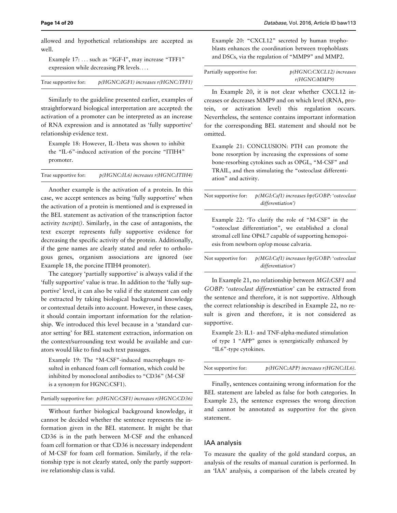allowed and hypothetical relationships are accepted as well.

Example 17: ... such as "IGF-I", may increase "TFF1" expression while decreasing PR levels... .

| True supportive for: | $p(HGNC:IGF1)$ increases $r(HGNC:TFF1)$ |
|----------------------|-----------------------------------------|
|----------------------|-----------------------------------------|

Similarly to the guideline presented earlier, examples of straightforward biological interpretation are accepted: the activation of a promoter can be interpreted as an increase of RNA expression and is annotated as 'fully supportive' relationship evidence text.

Example 18: However, IL-1beta was shown to inhibit the "IL-6"-induced activation of the porcine "ITIH4" promoter.

True supportive for:  $p(HGNC:IL6)$  increases r(HGNC:ITIH4)

Another example is the activation of a protein. In this case, we accept sentences as being 'fully supportive' when the activation of a protein is mentioned and is expressed in the BEL statement as activation of the transcription factor activity tscript(). Similarly, in the case of antagonists, the text excerpt represents fully supportive evidence for decreasing the specific activity of the protein. Additionally, if the gene names are clearly stated and refer to orthologous genes, organism associations are ignored (see Example 18, the porcine ITIH4 promoter).

The category 'partially supportive' is always valid if the 'fully supportive' value is true. In addition to the 'fully supportive' level, it can also be valid if the statement can only be extracted by taking biological background knowledge or contextual details into account. However, in these cases, it should contain important information for the relationship. We introduced this level because in a 'standard curator setting' for BEL statement extraction, information on the context/surrounding text would be available and curators would like to find such text passages.

Example 19: The "M-CSF"-induced macrophages resulted in enhanced foam cell formation, which could be inhibited by monoclonal antibodies to "CD36" (M-CSF is a synonym for HGNC:CSF1).

Partially supportive for:  $p(HGNC:CSF1)$  increases r(HGNC:CD36)

Without further biological background knowledge, it cannot be decided whether the sentence represents the information given in the BEL statement. It might be that CD36 is in the path between M-CSF and the enhanced foam cell formation or that CD36 is necessary independent of M-CSF for foam cell formation. Similarly, if the relationship type is not clearly stated, only the partly supportive relationship class is valid.

Example 20: "CXCL12" secreted by human trophoblasts enhances the coordination between trophoblasts and DSCs, via the regulation of "MMP9" and MMP2.

| Partially supportive for: | p(HGNC:CXCL12) increases |
|---------------------------|--------------------------|
|                           | r(HGNC:MMP9)             |

In Example 20, it is not clear whether CXCL12 increases or decreases MMP9 and on which level (RNA, protein, or activation level) this regulation occurs. Nevertheless, the sentence contains important information for the corresponding BEL statement and should not be omitted.

Example 21: CONCLUSION: PTH can promote the bone resorption by increasing the expressions of some bone-resorbing cytokines such as OPGL, "M-CSF" and TRAIL, and then stimulating the "osteoclast differentiation" and activity.

Not supportive for:  $p(MGI:Csf1)$  increases bp(GOBP: 'osteoclast differentiation')

Example 22: 'To clarify the role of "M-CSF" in the "osteoclast differentiation", we established a clonal stromal cell line OP6L7 capable of supporting hemopoiesis from newborn op/op mouse calvaria.

| Not supportive for: | $p(MGI:Csf1)$ increases $bp(GOBP: 'ostecclast$ |
|---------------------|------------------------------------------------|
|                     | differentiation')                              |

In Example 21, no relationship between MGI:CSF1 and GOBP: 'osteoclast differentiation' can be extracted from the sentence and therefore, it is not supportive. Although the correct relationship is described in Example 22, no result is given and therefore, it is not considered as supportive.

Example 23: IL1- and TNF-alpha-mediated stimulation of type 1 "APP" genes is synergistically enhanced by "IL6"-type cytokines.

| Not supportive for: | $p(HGNC:APP)$ increases $r(HGNC: IL6)$ . |  |
|---------------------|------------------------------------------|--|
|---------------------|------------------------------------------|--|

Finally, sentences containing wrong information for the BEL statement are labeled as false for both categories. In Example 23, the sentence expresses the wrong direction and cannot be annotated as supportive for the given statement.

#### IAA analysis

To measure the quality of the gold standard corpus, an analysis of the results of manual curation is performed. In an 'IAA' analysis, a comparison of the labels created by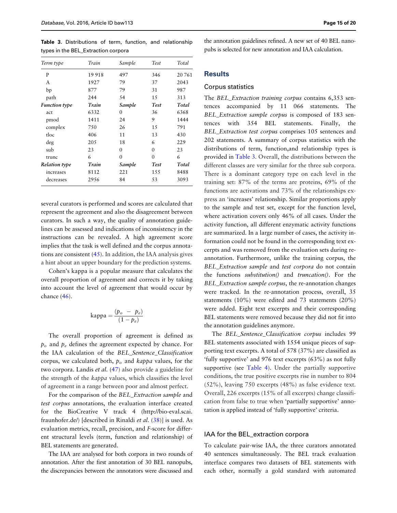Table 3. Distributions of term, function, and relationship types in the BEL\_Extraction corpora

| Term type            | Train  | Sample   | <b>Test</b> | Total  |
|----------------------|--------|----------|-------------|--------|
| P                    | 19 918 | 497      | 346         | 20 761 |
| A                    | 1927   | 79       | 37          | 2043   |
| bp                   | 877    | 79       | 31          | 987    |
| path                 | 244    | 54       | 15          | 313    |
| <b>Function type</b> | Train  | Sample   | <b>Test</b> | Total  |
| act                  | 6332   | $\Omega$ | 36          | 6368   |
| pmod                 | 1411   | 24       | 9           | 1444   |
| complex              | 750    | 26       | 15          | 791    |
| tloc                 | 406    | 11       | 13          | 430    |
| deg                  | 205    | 18       | 6           | 229    |
| sub                  | 23     | $\Omega$ | $\Omega$    | 23     |
| trunc                | 6      | $\Omega$ | $\Omega$    | 6      |
| Relation type        | Train  | Sample   | <b>Test</b> | Total  |
| increases            | 8112   | 221      | 155         | 8488   |
| decreases            | 2956   | 84       | 53          | 3093   |
|                      |        |          |             |        |

several curators is performed and scores are calculated that represent the agreement and also the disagreement between curators. In such a way, the quality of annotation guidelines can be assessed and indications of inconsistency in the instructions can be revealed. A high agreement score implies that the task is well defined and the corpus annotations are consistent  $(45)$  $(45)$ . In addition, the IAA analysis gives a hint about an upper boundary for the prediction systems.

Cohen's kappa is a popular measure that calculates the overall proportion of agreement and corrects it by taking into account the level of agreement that would occur by chance  $(46)$  $(46)$ .

$$
kappa = \frac{(p_o - p_e)}{(1 - p_e)}
$$

The overall proportion of agreement is defined as  $p<sub>o</sub>$  and  $p<sub>e</sub>$  defines the agreement expected by chance. For the IAA calculation of the BEL\_Sentence\_Classification corpus, we calculated both,  $p<sub>o</sub>$  and kappa values, for the two corpora. Landis et al. [\(47](#page-19-0)) also provide a guideline for the strength of the kappa values, which classifies the level of agreement in a range between poor and almost perfect.

For the comparison of the BEL\_Extraction sample and test corpus annotations, the evaluation interface created for the BioCreative V track 4 [\(http://bio-eval.scai.](http://bio-eval.scai.fraunhofer.de/) [fraunhofer.de/](http://bio-eval.scai.fraunhofer.de/)) [described in Rinaldi et al. [\(38](#page-19-0))] is used. As evaluation metrics, recall, precision, and F-score for different structural levels (term, function and relationship) of BEL statements are generated.

The IAA are analysed for both corpora in two rounds of annotation. After the first annotation of 30 BEL nanopubs, the discrepancies between the annotators were discussed and

the annotation guidelines refined. A new set of 40 BEL nanopubs is selected for new annotation and IAA calculation.

## **Results**

#### Corpus statistics

The BEL\_Extraction training corpus contains 6,353 sentences accompanied by 11 066 statements. The BEL\_Extraction sample corpus is composed of 183 sentences with 354 BEL statements. Finally, the BEL Extraction test corpus comprises 105 sentences and 202 statements. A summary of corpus statistics with the distributions of term, function,and relationship types is provided in Table 3. Overall, the distributions between the different classes are very similar for the three sub corpora. There is a dominant category type on each level in the training set: 87% of the terms are proteins, 69% of the functions are activations and 73% of the relationships express an 'increases' relationship. Similar proportions apply to the sample and test set, except for the function level, where activation covers only 46% of all cases. Under the activity function, all different enzymatic activity functions are summarized. In a large number of cases, the activity information could not be found in the corresponding text excerpts and was removed from the evaluation sets during reannotation. Furthermore, unlike the training corpus, the BEL Extraction sample and test corpora do not contain the functions substitution() and truncation(). For the BEL\_Extraction sample corpus, the re-annotation changes were tracked. In the re-annotation process, overall, 35 statements (10%) were edited and 73 statements (20%) were added. Eight text excerpts and their corresponding BEL statements were removed because they did not fit into the annotation guidelines anymore.

The BEL\_Sentence\_Classification corpus includes 99 BEL statements associated with 1554 unique pieces of supporting text excerpts. A total of 578 (37%) are classified as 'fully supportive' and 976 text excerpts (63%) as not fully supportive (see [Table 4](#page-15-0)). Under the partially supportive conditions, the true positive excerpts rise in number to 804 (52%), leaving 750 excerpts (48%) as false evidence text. Overall, 226 excerpts (15% of all excerpts) change classification from false to true when 'partially supportive' annotation is applied instead of 'fully supportive' criteria.

#### IAA for the BEL\_extraction corpora

To calculate pair-wise IAA, the three curators annotated 40 sentences simultaneously. The BEL track evaluation interface compares two datasets of BEL statements with each other, normally a gold standard with automated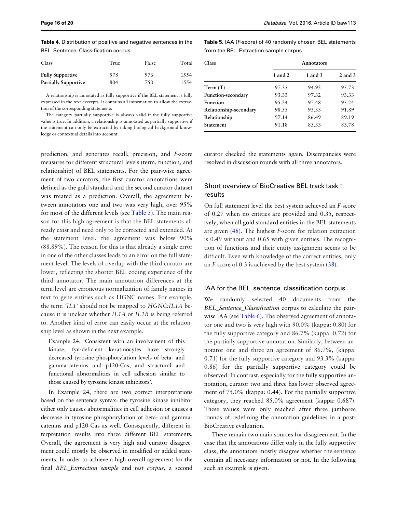<span id="page-15-0"></span>Table 4. Distribution of positive and negative sentences in the BEL\_Sentence\_Classification corpus

| Class                       | True | False | Total |
|-----------------------------|------|-------|-------|
| <b>Fully Supportive</b>     | 578  | 976   | 1554  |
| <b>Partially Supportive</b> | 804  | 750   | 1554  |

A relationship is annotated as fully supportive if the BEL statement is fully expressed in the text excerpts. It contains all information to allow the extraction of the corresponding statements

The category partially supportive is always valid if the fully supportive value is true. In addition, a relationship is annotated as partially supportive if the statement can only be extracted by taking biological background knowledge or contextual details into account.

prediction, and generates recall, precision, and F-score measures for different structural levels (term, function, and relationship) of BEL statements. For the pair-wise agreement of two curators, the first curator annotations were defined as the gold standard and the second curator dataset was treated as a prediction. Overall, the agreement between annotators one and two was very high, over 95% for most of the different levels (see Table 5). The main reason for this high agreement is that the BEL statements already exist and need only to be corrected and extended. At the statement level, the agreement was below 90% (88.89%). The reason for this is that already a single error in one of the other classes leads to an error on the full statement level. The levels of overlap with the third curator are lower, reflecting the shorter BEL coding experience of the third annotator. The main annotation differences at the term level are erroneous normalization of family names in text to gene entities such as HGNC names. For example, the term 'IL1' should not be mapped to HGNC:IL1A because it is unclear whether IL1A or IL1B is being referred to. Another kind of error can easily occur at the relationship level as shown in the next example.

Example 24: 'Consistent with an involvement of this kinase, fyn-deficient keratinocytes have strongly decreased tyrosine phosphorylation levels of beta- and gamma-catenins and p120-Cas, and structural and functional abnormalities in cell adhesion similar to those caused by tyrosine kinase inhibitors'.

In Example 24, there are two correct interpretations based on the sentence syntax: the tyrosine kinase inhibitor either only causes abnormalities in cell adhesion or causes a decrease in tyrosine phosphorylation of beta- and gammacatenins and p120-Cas as well. Consequently, different interpretation results into three different BEL statements. Overall, the agreement is very high and curator disagreement could mostly be observed in modified or added statements. In order to achieve a high overall agreement for the final BEL\_Extraction sample and test corpus, a second

Table 5. IAA (F-score) of 40 randomly chosen BEL statements from the BEL\_Extraction sample corpus

| Class                  |         | <b>Annotators</b> |             |
|------------------------|---------|-------------------|-------------|
|                        | 1 and 2 | $1$ and $3$       | $2$ and $3$ |
| Term(T)                | 97.35   | 94.92             | 95.73       |
| Function-secondary     | 93.33   | 97.32             | 93.33       |
| Function               | 95.24   | 97.48             | 95.24       |
| Relationship-secondary | 98.55   | 93.33             | 91.89       |
| Relationship           | 97.14   | 86.49             | 89.19       |
| Statement              | 91.18   | 85.33             | 83.78       |

curator checked the statements again. Discrepancies were resolved in discussion rounds with all three annotators.

## Short overview of BioCreative BEL track task 1 results

On full statement level the best system achieved an F-score of 0.27 when no entities are provided and 0.35, respectively, when all gold standard entities in the BEL statements are given [\(48](#page-19-0)). The highest F-score for relation extraction is 0.49 without and 0.65 with given entities. The recognition of functions and their entity assignment seems to be difficult. Even with knowledge of the correct entities, only an  $F$ -score of 0.3 is achieved by the best system  $(38)$  $(38)$  $(38)$ .

#### IAA for the BEL\_sentence\_classification corpus

We randomly selected 40 documents from the BEL\_Sentence\_Classification corpus to calculate the pair-wise IAA (see [Table 6](#page-16-0)). The observed agreement of annotator one and two is very high with 90.0% (kappa: 0.80) for the fully supportive category and 86.7% (kappa: 0.72) for the partially supportive annotation. Similarly, between annotator one and three an agreement of 86.7%, (kappa: 0.71) for the fully supportive category and 93.3% (kappa: 0.86) for the partially supportive category could be observed. In contrast, especially for the fully supportive annotation, curator two and three has lower observed agreement of 75.0% (kappa: 0.44). For the partially supportive category, they reached 85.0% agreement (kappa: 0.687). These values were only reached after three jamboree rounds of redefining the annotation guidelines in a post-BioCreative evaluation.

There remain two main sources for disagreement. In the case that the annotations differ only in the fully supportive class, the annotators mostly disagree whether the sentence contain all necessary information or not. In the following such an example is given.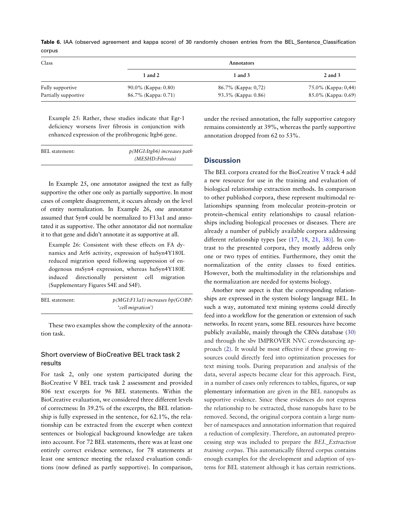<span id="page-16-0"></span>

| Table 6. IAA (observed agreement and kappa score) of 30 randomly chosen entries from the BEL Sentence Classification |  |  |  |  |  |  |  |  |
|----------------------------------------------------------------------------------------------------------------------|--|--|--|--|--|--|--|--|
| corpus                                                                                                               |  |  |  |  |  |  |  |  |

| Class                |                        | Annotators          |                     |
|----------------------|------------------------|---------------------|---------------------|
|                      | 1 and 2                | 1 and 3             | $2$ and $3$         |
| Fully supportive     | 90.0% (Kappa: $0.80$ ) | 86.7% (Kappa: 0,72) | 75.0% (Kappa: 0,44) |
| Partially supportive | 86.7% (Kappa: 0.71)    | 93.3% (Kappa: 0.86) | 85.0% (Kappa: 0.69) |

Example 25: Rather, these studies indicate that Egr-1 deficiency worsens liver fibrosis in conjunction with enhanced expression of the profibrogenic Itgb6 gene.

| <b>BEL</b> statement: | $p(MGI:Itgb6)$ increases path |
|-----------------------|-------------------------------|
|                       | (MESHD:Fibrosis)              |

In Example 25, one annotator assigned the text as fully supportive the other one only as partially supportive. In most cases of complete disagreement, it occurs already on the level of entity normalization. In Example 26, one annotator assumed that Syn4 could be normalized to F13a1 and annotated it as supportive. The other annotator did not normalize it to that gene and didn't annotate it as supportive at all.

Example 26: Consistent with these effects on FA dynamics and Arf6 activity, expression of huSyn4Y180L reduced migration speed following suppression of endogenous msSyn4 expression, whereas huSyn4Y180E induced directionally persistent cell migration (Supplementary Figures S4E and S4F).

| <b>BEL</b> statement: | $p(MGI: F13a1)$ increases $bp(GOBP)$ : |
|-----------------------|----------------------------------------|
|                       | 'cell migration')                      |

These two examples show the complexity of the annotation task.

## Short overview of BioCreative BEL track task 2 results

For task 2, only one system participated during the BioCreative V BEL track task 2 assessment and provided 806 text excerpts for 96 BEL statements. Within the BioCreative evaluation, we considered three different levels of correctness: In 39.2% of the excerpts, the BEL relationship is fully expressed in the sentence, for 62.1%, the relationship can be extracted from the excerpt when context sentences or biological background knowledge are taken into account. For 72 BEL statements, there was at least one entirely correct evidence sentence, for 78 statements at least one sentence meeting the relaxed evaluation conditions (now defined as partly supportive). In comparison,

under the revised annotation, the fully supportive category remains consistently at 39%, whereas the partly supportive annotation dropped from 62 to 53%.

## **Discussion**

The BEL corpora created for the BioCreative V track 4 add a new resource for use in the training and evaluation of biological relationship extraction methods. In comparison to other published corpora, these represent multimodal relationships spanning from molecular protein–protein or protein–chemical entity relationships to causal relationships including biological processes or diseases. There are already a number of publicly available corpora addressing different relationship types [see  $(17, 18, 21, 38)$  $(17, 18, 21, 38)$  $(17, 18, 21, 38)$  $(17, 18, 21, 38)$  $(17, 18, 21, 38)$  $(17, 18, 21, 38)$  $(17, 18, 21, 38)$  $(17, 18, 21, 38)$ ]. In contrast to the presented corpora, they mostly address only one or two types of entities. Furthermore, they omit the normalization of the entity classes to fixed entities. However, both the multimodality in the relationships and the normalization are needed for systems biology.

Another new aspect is that the corresponding relationships are expressed in the system biology language BEL. In such a way, automated text mining systems could directly feed into a workflow for the generation or extension of such networks. In recent years, some BEL resources have become publicly available, mainly through the CBNs database [\(30](#page-19-0)) and through the sbv IMPROVER NVC crowdsourcing approach ([2\)](#page-18-0). It would be most effective if these growing resources could directly feed into optimization processes for text mining tools. During preparation and analysis of the data, several aspects became clear for this approach. First, in a number of cases only references to tables, figures, or sup plementary information are given in the BEL nanopubs as supportive evidence. Since these evidences do not express the relationship to be extracted, those nanopubs have to be removed. Second, the original corpora contain a large number of namespaces and annotation information that required a reduction of complexity. Therefore, an automated preprocessing step was included to prepare the BEL\_Extraction training corpus. This automatically filtered corpus contains enough examples for the development and adaption of systems for BEL statement although it has certain restrictions.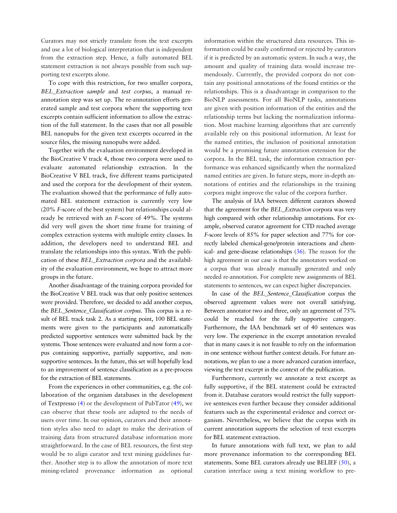Curators may not strictly translate from the text excerpts and use a lot of biological interpretation that is independent from the extraction step. Hence, a fully automated BEL statement extraction is not always possible from such supporting text excerpts alone.

To cope with this restriction, for two smaller corpora, BEL\_Extraction sample and test corpus, a manual reannotation step was set up. The re-annotation efforts generated sample and test corpora where the supporting text excerpts contain sufficient information to allow the extraction of the full statement. In the cases that not all possible BEL nanopubs for the given text excerpts occurred in the source files, the missing nanopubs were added.

Together with the evaluation environment developed in the BioCreative V track 4, those two corpora were used to evaluate automated relationship extraction. In the BioCreative V BEL track, five different teams participated and used the corpora for the development of their system. The evaluation showed that the performance of fully automated BEL statement extraction is currently very low (20% F-score of the best system) but relationships could already be retrieved with an F-score of 49%. The systems did very well given the short time frame for training of complex extraction systems with multiple entity classes. In addition, the developers need to understand BEL and translate the relationships into this syntax. With the publication of these BEL\_Extraction corpora and the availability of the evaluation environment, we hope to attract more groups in the future.

Another disadvantage of the training corpora provided for the BioCreative V BEL track was that only positive sentences were provided. Therefore, we decided to add another corpus, the BEL\_Sentence\_Classification corpus. This corpus is a result of BEL track task 2. As a starting point, 100 BEL statements were given to the participants and automatically predicted supportive sentences were submitted back by the systems. Those sentences were evaluated and now form a corpus containing supportive, partially supportive, and nonsupportive sentences. In the future, this set will hopefully lead to an improvement of sentence classification as a pre-process for the extraction of BEL statements.

From the experiences in other communities, e.g. the collaboration of the organism databases in the development of Textpresso ([4](#page-18-0)) or the development of PubTator [\(49\)](#page-19-0), we can observe that these tools are adapted to the needs of users over time. In our opinion, curators and their annotation styles also need to adapt to make the derivation of training data from structured database information more straightforward. In the case of BEL resources, the first step would be to align curator and text mining guidelines further. Another step is to allow the annotation of more text mining-related provenance information as optional

information within the structured data resources. This information could be easily confirmed or rejected by curators if it is predicted by an automatic system. In such a way, the amount and quality of training data would increase tremendously. Currently, the provided corpora do not contain any positional annotations of the found entities or the relationships. This is a disadvantage in comparison to the BioNLP assessments. For all BioNLP tasks, annotations are given with position information of the entities and the relationship terms but lacking the normalization information. Most machine learning algorithms that are currently available rely on this positional information. At least for the named entities, the inclusion of positional annotation would be a promising future annotation extension for the corpora. In the BEL task, the information extraction performance was enhanced significantly when the normalized named entities are given. In future steps, more in-depth annotations of entities and the relationships in the training corpora might improve the value of the corpora further.

The analysis of IAA between different curators showed that the agreement for the BEL\_Extraction corpora was very high compared with other relationship annotations. For example, observed curator agreement for CTD reached average F-score levels of 85% for paper selection and 77% for correctly labeled chemical-gene/protein interactions and chemical- and gene-disease relationships [\(36\)](#page-19-0). The reason for the high agreement in our case is that the annotators worked on a corpus that was already manually generated and only needed re-annotation. For complete new assignments of BEL statements to sentences, we can expect higher discrepancies.

In case of the BEL\_Sentence\_Classification corpus the observed agreement values were not overall satisfying. Between annotator two and three, only an agreement of 75% could be reached for the fully supportive category. Furthermore, the IAA benchmark set of 40 sentences was very low. The experience in the excerpt annotation revealed that in many cases it is not feasible to rely on the information in one sentence without further context details. For future annotations, we plan to use a more advanced curation interface, viewing the text excerpt in the context of the publication.

Furthermore, currently we annotate a text excerpt as fully supportive, if the BEL statement could be extracted from it. Database curators would restrict the fully supportive sentences even further because they consider additional features such as the experimental evidence and correct organism. Nevertheless, we believe that the corpus with its current annotation supports the selection of text excerpts for BEL statement extraction.

In future annotations with full text, we plan to add more provenance information to the corresponding BEL statements. Some BEL curators already use BELIEF ([50](#page-19-0)), a curation interface using a text mining workflow to pre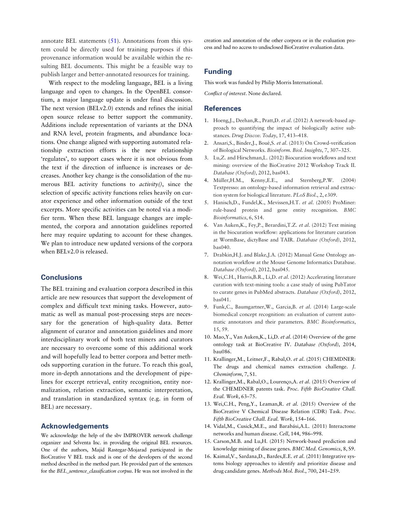<span id="page-18-0"></span>annotate BEL statements  $(51)$  $(51)$ . Annotations from this system could be directly used for training purposes if this provenance information would be available within the resulting BEL documents. This might be a feasible way to publish larger and better-annotated resources for training.

With respect to the modeling language, BEL is a living language and open to changes. In the OpenBEL consortium, a major language update is under final discussion. The next version (BELv2.0) extends and refines the initial open source release to better support the community. Additions include representation of variants at the DNA and RNA level, protein fragments, and abundance locations. One change aligned with supporting automated relationship extraction efforts is the new relationship 'regulates', to support cases where it is not obvious from the text if the direction of influence is increases or decreases. Another key change is the consolidation of the numerous BEL activity functions to  $activity()$ , since the selection of specific activity functions relies heavily on curator experience and other information outside of the text excerpts. More specific activities can be noted via a modifier term. When these BEL language changes are implemented, the corpora and annotation guidelines reported here may require updating to account for these changes. We plan to introduce new updated versions of the corpora when BELv2.0 is released.

## **Conclusions**

The BEL training and evaluation corpora described in this article are new resources that support the development of complex and difficult text mining tasks. However, automatic as well as manual post-processing steps are necessary for the generation of high-quality data. Better alignment of curator and annotation guidelines and more interdisciplinary work of both text miners and curators are necessary to overcome some of this additional work and will hopefully lead to better corpora and better methods supporting curation in the future. To reach this goal, more in-depth annotations and the development of pipelines for excerpt retrieval, entity recognition, entity normalization, relation extraction, semantic interpretation, and translation in standardized syntax (e.g. in form of BEL) are necessary.

#### Acknowledgements

We acknowledge the help of the sbv IMPROVER network challenge organizer and Selventa Inc. in providing the original BEL resources. One of the authors, Majid Rastegar-Mojarad participated in the BioCreative V BEL track and is one of the developers of the second method described in the method part. He provided part of the sentences for the BEL\_sentence\_classification corpus. He was not involved in the creation and annotation of the other corpora or in the evaluation process and had no access to undisclosed BioCreative evaluation data.

## Funding

This work was funded by Philip Morris International.

Conflict of interest. None declared.

#### **References**

- 1. Hoeng,J., Deehan,R., Pratt,D. et al. (2012) A network-based approach to quantifying the impact of biologically active substances. Drug Discov. Today, 17, 413–418.
- 2. Ansari, S., Binder, J., Boué, S. et al. (2013) On Crowd-verification of Biological Networks. Bioinform. Biol. Insights, 7, 307–325.
- 3. Lu,Z. and Hirschman,L. (2012) Biocuration workflows and text mining: overview of the BioCreative 2012 Workshop Track II. Database (Oxford), 2012, bas043.
- 4. Müller, H.M., Kenny, E.E., and Sternberg, P.W. (2004) Textpresso: an ontology-based information retrieval and extraction system for biological literature. PLoS Biol., 2, e309.
- 5. Hanisch,D., Fundel,K., Mevissen,H.T. et al. (2005) ProMiner: rule-based protein and gene entity recognition. BMC Bioinformatics, 6, S14.
- 6. Van Auken,K., Fey,P., Berardini,T.Z. et al. (2012) Text mining in the biocuration workflow: applications for literature curation at WormBase, dictyBase and TAIR. Database (Oxford), 2012, bas040.
- 7. Drabkin,H.J. and Blake,J.A. (2012) Manual Gene Ontology annotation workflow at the Mouse Genome Informatics Database. Database (Oxford), 2012, bas045.
- 8. Wei, C.H., Harris, B.R., Li, D. et al. (2012) Accelerating literature curation with text-mining tools: a case study of using PubTator to curate genes in PubMed abstracts. Database (Oxford), 2012, bas041.
- 9. Funk,C., Baumgartner,W., Garcia,B. et al. (2014) Large-scale biomedical concept recognition: an evaluation of current automatic annotators and their parameters. BMC Bioinformatics, 15, 59.
- 10. Mao,Y., Van Auken,K., Li,D. et al. (2014) Overview of the gene ontology task at BioCreative IV. Database (Oxford), 2014, bau086.
- 11. Krallinger,M., Leitner,F., Rabal,O. et al. (2015) CHEMDNER: The drugs and chemical names extraction challenge. J. Cheminform, 7, S1.
- 12. Krallinger, M., Rabal, O., Lourenco, A. et al. (2015) Overview of the CHEMDNER patents task. Proc. Fifth BioCreative Chall. Eval. Work, 63–75.
- 13. Wei,C.H., Peng,Y., Leaman,R. et al. (2015) Overview of the BioCreative V Chemical Disease Relation (CDR) Task. Proc. Fifth BioCreative Chall. Eval. Work, 154–166.
- 14. Vidal, M., Cusick, M.E., and Barabási, A.L. (2011) Interactome networks and human disease. Cell, 144, 986–998.
- 15. Carson,M.B. and Lu,H. (2015) Network-based prediction and knowledge mining of disease genes. BMC Med. Genomics, 8, S9.
- 16. Kaimal,V., Sardana,D., Bardes,E.E. et al. (2011) Integrative systems biology approaches to identify and prioritize disease and drug candidate genes. Methods Mol. Biol., 700, 241–259.